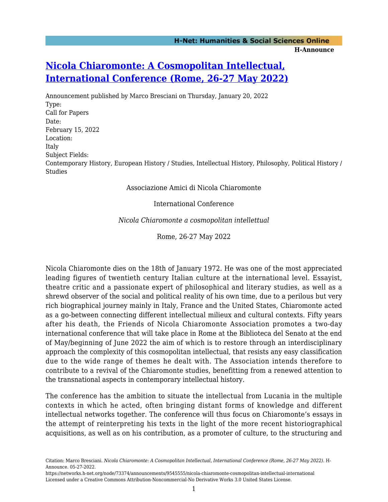## **[Nicola Chiaromonte: A Cosmopolitan Intellectual,](https://networks.h-net.org/node/73374/announcements/9545555/nicola-chiaromonte-cosmopolitan-intellectual-international) [International Conference \(Rome, 26-27 May 2022\)](https://networks.h-net.org/node/73374/announcements/9545555/nicola-chiaromonte-cosmopolitan-intellectual-international)**

Announcement published by Marco Bresciani on Thursday, January 20, 2022 Type: Call for Papers Date: February 15, 2022 Location: Italy Subject Fields: Contemporary History, European History / Studies, Intellectual History, Philosophy, Political History / Studies

Associazione Amici di Nicola Chiaromonte

International Conference

*Nicola Chiaromonte a cosmopolitan intellettual*

Rome, 26-27 May 2022

Nicola Chiaromonte dies on the 18th of January 1972. He was one of the most appreciated leading figures of twentieth century Italian culture at the international level. Essayist, theatre critic and a passionate expert of philosophical and literary studies, as well as a shrewd observer of the social and political reality of his own time, due to a perilous but very rich biographical journey mainly in Italy, France and the United States, Chiaromonte acted as a go-between connecting different intellectual milieux and cultural contexts. Fifty years after his death, the Friends of Nicola Chiaromonte Association promotes a two-day international conference that will take place in Rome at the Biblioteca del Senato at the end of May/beginning of June 2022 the aim of which is to restore through an interdisciplinary approach the complexity of this cosmopolitan intellectual, that resists any easy classification due to the wide range of themes he dealt with. The Association intends therefore to contribute to a revival of the Chiaromonte studies, benefitting from a renewed attention to the transnational aspects in contemporary intellectual history.

The conference has the ambition to situate the intellectual from Lucania in the multiple contexts in which he acted, often bringing distant forms of knowledge and different intellectual networks together. The conference will thus focus on Chiaromonte's essays in the attempt of reinterpreting his texts in the light of the more recent historiographical acquisitions, as well as on his contribution, as a promoter of culture, to the structuring and

Citation: Marco Bresciani. *Nicola Chiaromonte: A Cosmopolitan Intellectual, International Conference (Rome, 26-27 May 2022)*. H-Announce. 05-27-2022.

https://networks.h-net.org/node/73374/announcements/9545555/nicola-chiaromonte-cosmopolitan-intellectual-international Licensed under a Creative Commons Attribution-Noncommercial-No Derivative Works 3.0 United States License.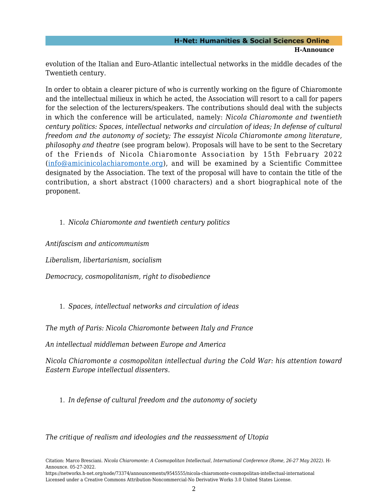## **H-Net: Humanities & Social Sciences Online H-Announce**

evolution of the Italian and Euro-Atlantic intellectual networks in the middle decades of the Twentieth century.

In order to obtain a clearer picture of who is currently working on the figure of Chiaromonte and the intellectual milieux in which he acted, the Association will resort to a call for papers for the selection of the lecturers/speakers. The contributions should deal with the subjects in which the conference will be articulated, namely: *Nicola Chiaromonte and twentieth century politics: Spaces, intellectual networks and circulation of ideas; In defense of cultural freedom and the autonomy of society; The essayist Nicola Chiaromonte among literature, philosophy and theatre* (see program below). Proposals will have to be sent to the Secretary of the Friends of Nicola Chiaromonte Association by 15th February 2022 ([info@amicinicolachiaromonte.org\)](mailto:info@amicinicolachiaromonte.org), and will be examined by a Scientific Committee designated by the Association. The text of the proposal will have to contain the title of the contribution, a short abstract (1000 characters) and a short biographical note of the proponent.

1. *Nicola Chiaromonte and twentieth century politics*

*Antifascism and anticommunism*

*Liberalism, libertarianism, socialism*

*Democracy, cosmopolitanism, right to disobedience*

1. *Spaces, intellectual networks and circulation of ideas*

*The myth of Paris: Nicola Chiaromonte between Italy and France*

*An intellectual middleman between Europe and America*

*Nicola Chiaromonte a cosmopolitan intellectual during the Cold War: his attention toward Eastern Europe intellectual dissenters.*

1. *In defense of cultural freedom and the autonomy of society*

*The critique of realism and ideologies and the reassessment of Utopia*